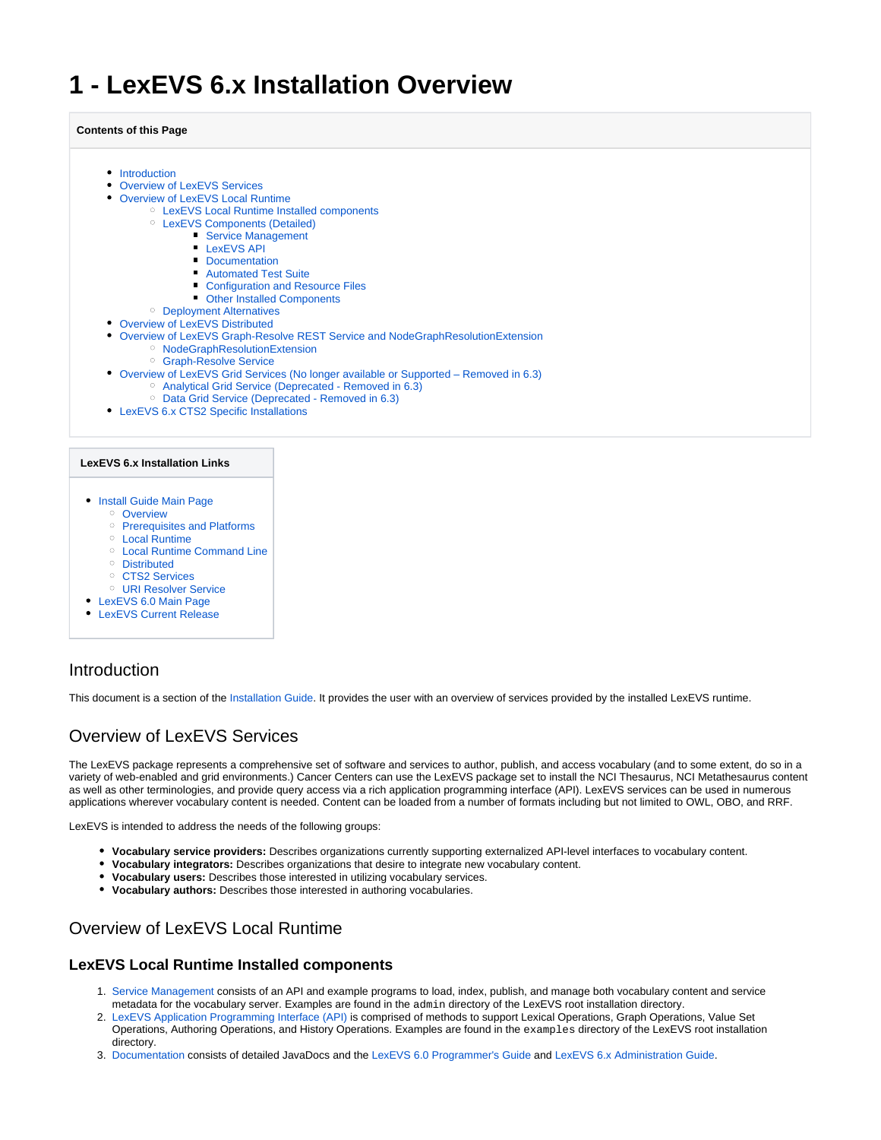# <span id="page-0-4"></span>**1 - LexEVS 6.x Installation Overview**

#### **Contents of this Page**

- [Introduction](#page-0-0)
- [Overview of LexEVS Services](#page-0-1)
- [Overview of LexEVS Local Runtime](#page-0-2)
	- [LexEVS Local Runtime Installed components](#page-0-3)
		- [LexEVS Components \(Detailed\)](#page-1-0)
			- [Service Management](#page-2-0)
				- **[LexEVS API](#page-2-1)**
				- **[Documentation](#page-2-2)**
				- **[Automated Test Suite](#page-3-0)**
				- **[Configuration and Resource Files](#page-3-1)**
				- [Other Installed Components](#page-3-2)
	- <sup>o</sup> [Deployment Alternatives](#page-3-3)
- [Overview of LexEVS Distributed](#page-3-4)
- [Overview of LexEVS Graph-Resolve REST Service and NodeGraphResolutionExtension](#page-4-0)
	- o [NodeGraphResolutionExtension](#page-4-1)
		- [Graph-Resolve Service](#page-4-2)
- [Overview of LexEVS Grid Services \(No longer available or Supported Removed in 6.3\)](#page-4-3)
	- <sup>o</sup> [Analytical Grid Service \(Deprecated Removed in 6.3\)](#page-4-4)
	- <sup>o</sup> [Data Grid Service \(Deprecated Removed in 6.3\)](#page-4-5)
- [LexEVS 6.x CTS2 Specific Installations](#page-4-6)

#### **LexEVS 6.x Installation Links**

- [Install Guide Main Page](https://wiki.nci.nih.gov/display/LexEVS/LexEVS+6.x+Installation+Guide)
	- <sup>o</sup> [Overview](#page-0-4)
		- <sup>o</sup> [Prerequisites and Platforms](https://wiki.nci.nih.gov/display/LexEVS/2+-+LexEVS+6.x+Prerequisite+Software+and+Supported+Platforms)
	- [Local Runtime](https://wiki.nci.nih.gov/display/LexEVS/3+-+Installing+LexEVS+6.x+Local+Runtime)
	- [Local Runtime Command Line](https://wiki.nci.nih.gov/pages/viewpage.action?pageId=62427333)
	- <sup>o</sup> [Distributed](https://wiki.nci.nih.gov/display/LexEVS/5+-+Installing+LexEVS+6.x+Distributed)
	- o [CTS2 Services](https://wiki.nci.nih.gov/display/LexEVS/6+-+Installing+LexEVS+6.x+CTS2+Services)
	- [URI Resolver Service](https://wiki.nci.nih.gov/display/LexEVS/7+-+Installing+LexEVS+6.x+URI+Resolver+Service)
- [LexEVS 6.0 Main Page](https://wiki.nci.nih.gov/display/LexEVS/LexEVS+6.0)
- **[LexEVS Current Release](https://wiki.nci.nih.gov/display/LexEVS/LexEVS)**

# <span id="page-0-0"></span>Introduction

This document is a section of the [Installation Guide.](https://wiki.nci.nih.gov/display/LexEVS/LexEVS+6.x+Installation+Guide) It provides the user with an overview of services provided by the installed LexEVS runtime.

# <span id="page-0-1"></span>Overview of LexEVS Services

The LexEVS package represents a comprehensive set of software and services to author, publish, and access vocabulary (and to some extent, do so in a variety of web-enabled and grid environments.) Cancer Centers can use the LexEVS package set to install the NCI Thesaurus, NCI Metathesaurus content as well as other terminologies, and provide query access via a rich application programming interface (API). LexEVS services can be used in numerous applications wherever vocabulary content is needed. Content can be loaded from a number of formats including but not limited to OWL, OBO, and RRF.

LexEVS is intended to address the needs of the following groups:

- **Vocabulary service providers:** Describes organizations currently supporting externalized API-level interfaces to vocabulary content.
- **Vocabulary integrators:** Describes organizations that desire to integrate new vocabulary content.
- **Vocabulary users:** Describes those interested in utilizing vocabulary services.
- **Vocabulary authors:** Describes those interested in authoring vocabularies.

### <span id="page-0-2"></span>Overview of LexEVS Local Runtime

#### <span id="page-0-3"></span>**LexEVS Local Runtime Installed components**

- 1. [Service Management](#page-2-0) consists of an API and example programs to load, index, publish, and manage both vocabulary content and service metadata for the vocabulary server. Examples are found in the admin directory of the LexEVS root installation directory.
- 2. LexEVS Application Programming Interface (API) is comprised of methods to support Lexical Operations, Graph Operations, Value Set Operations, Authoring Operations, and History Operations. Examples are found in the examples directory of the LexEVS root installation directory.
- 3. [Documentation](#page-2-2) consists of detailed JavaDocs and the [LexEVS 6.0 Programmer's Guide](https://wiki.nci.nih.gov/display/LexEVS/LexEVS+6.x+API+Programmer%27s+Guide) and [LexEVS 6.x Administration Guide.](https://wiki.nci.nih.gov/display/LexEVS/LexEVS+6.x+Administration+Guide)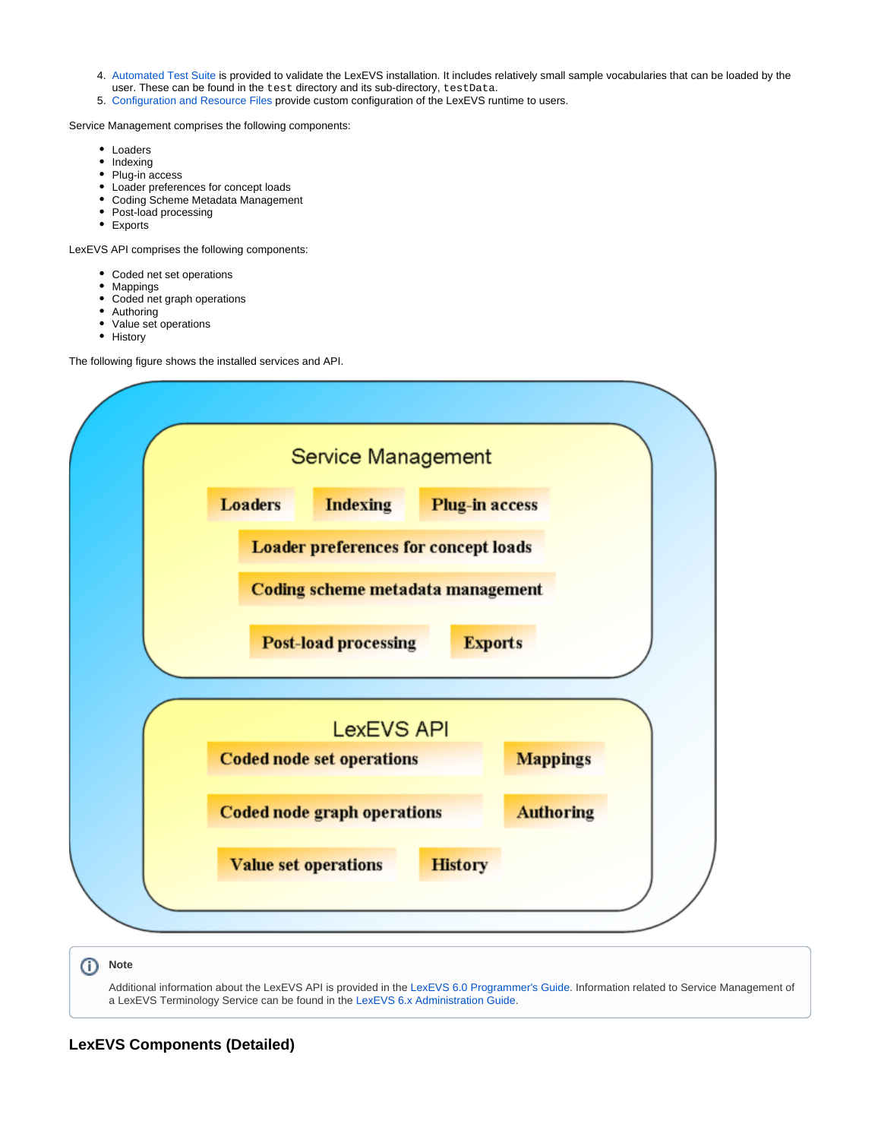- 4. [Automated Test Suite](#page-3-0) is provided to validate the LexEVS installation. It includes relatively small sample vocabularies that can be loaded by the user. These can be found in the test directory and its sub-directory, testData.
- 5. [Configuration and Resource Files](#page-3-1) provide custom configuration of the LexEVS runtime to users.

Service Management comprises the following components:

- Loaders
- Indexing
- Plug-in access
- Loader preferences for concept loads
- Coding Scheme Metadata Management
- Post-load processing
- Exports

LexEVS API comprises the following components:

- Coded net set operations
- Mappings
- Coded net graph operations
- Authoring
- Value set operations
- History

The following figure shows the installed services and API.



Additional information about the LexEVS API is provided in the [LexEVS 6.0 Programmer's Guide](https://wiki.nci.nih.gov/display/LexEVS/LexEVS+6.x+API+Programmer%27s+Guide). Information related to Service Management of a LexEVS Terminology Service can be found in the [LexEVS 6.x Administration Guide](https://wiki.nci.nih.gov/display/LexEVS/LexEVS+6.x+Administration+Guide).

### <span id="page-1-0"></span>**LexEVS Components (Detailed)**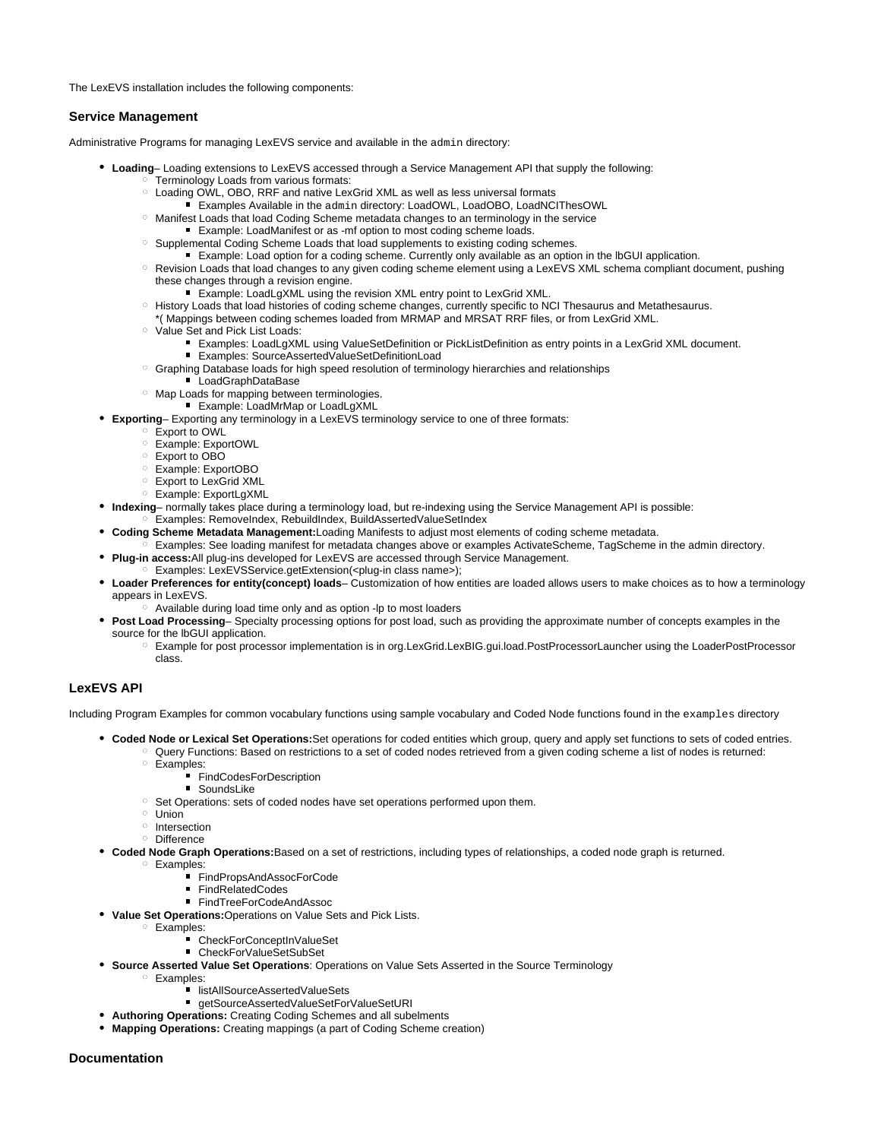The LexEVS installation includes the following components:

#### <span id="page-2-0"></span>**Service Management**

Administrative Programs for managing LexEVS service and available in the admin directory:

- **Loading** Loading extensions to LexEVS accessed through a Service Management API that supply the following: **Terminology Loads from various formats:** 
	- Loading OWL, OBO, RRF and native LexGrid XML as well as less universal formats
		- Examples Available in the admin directory: LoadOWL, LoadOBO, LoadNCIThesOWL
	- <sup>o</sup> Manifest Loads that load Coding Scheme metadata changes to an terminology in the service
	- Example: LoadManifest or as -mf option to most coding scheme loads.
	- <sup>o</sup> Supplemental Coding Scheme Loads that load supplements to existing coding schemes.
		- Example: Load option for a coding scheme. Currently only available as an option in the IbGUI application.
	- Revision Loads that load changes to any given coding scheme element using a LexEVS XML schema compliant document, pushing these changes through a revision engine.
		- Example: LoadLqXML using the revision XML entry point to LexGrid XML.
	- o History Loads that load histories of coding scheme changes, currently specific to NCI Thesaurus and Metathesaurus.
	- \*( Mappings between coding schemes loaded from MRMAP and MRSAT RRF files, or from LexGrid XML.
	- <sup>o</sup> Value Set and Pick List Loads:
		- Examples: LoadLgXML using ValueSetDefinition or PickListDefinition as entry points in a LexGrid XML document.
		- Examples: SourceAssertedValueSetDefinitionLoad
	- $\circ$  Graphing Database loads for high speed resolution of terminology hierarchies and relationships
		- LoadGraphDataBase
	- <sup>o</sup> Map Loads for mapping between terminologies.
		- **Example: LoadMrMap or LoadLgXML**
- **Exporting** Exporting any terminology in a LexEVS terminology service to one of three formats:
	- Export to OWL
	- Example: ExportOWL
	- Export to OBO
	- Example: ExportOBO
	- Export to LexGrid XML
	- Example: ExportLgXML
- **Indexing** normally takes place during a terminology load, but re-indexing using the Service Management API is possible:
- Examples: RemoveIndex, RebuildIndex, BuildAssertedValueSetIndex
- **Coding Scheme Metadata Management:**Loading Manifests to adjust most elements of coding scheme metadata.
- $\frac{1}{2}$  Examples: See loading manifest for metadata changes above or examples ActivateScheme, TagScheme in the admin directory.
- **Plug-in access:**All plug-ins developed for LexEVS are accessed through Service Management.
	- Examples: LexEVSService.getExtension(<plug-in class name>);
- **Loader Preferences for entity(concept) loads** Customization of how entities are loaded allows users to make choices as to how a terminology appears in LexEVS.
	- Available during load time only and as option -lp to most loaders
- **Post Load Processing** Specialty processing options for post load, such as providing the approximate number of concepts examples in the source for the lbGUI application.
	- Example for post processor implementation is in org.LexGrid.LexBIG.gui.load.PostProcessorLauncher using the LoaderPostProcessor class.

#### <span id="page-2-1"></span>**LexEVS API**

Including Program Examples for common vocabulary functions using sample vocabulary and Coded Node functions found in the examples directory

- **Coded Node or Lexical Set Operations:**Set operations for coded entities which group, query and apply set functions to sets of coded entries. Query Functions: Based on restrictions to a set of coded nodes retrieved from a given coding scheme a list of nodes is returned:
	- <sup>o</sup> Examples:
		- FindCodesForDescription
		- SoundsLike
	- $\circ$  Set Operations: sets of coded nodes have set operations performed upon them.
	- <sup>o</sup> Union
	- $\circ$  Intersection
	- o Difference
- **Coded Node Graph Operations:**Based on a set of restrictions, including types of relationships, a coded node graph is returned.
	- Examples:
		- FindPropsAndAssocForCode
		- FindRelatedCodes
		- FindTreeForCodeAndAssoc
- **Value Set Operations:**Operations on Value Sets and Pick Lists.
	- Examples:
		- CheckForConceptInValueSet
		- CheckForValueSetSubSet
- **Source Asserted Value Set Operations**: Operations on Value Sets Asserted in the Source Terminology
	- Examples:
		- listAllSourceAssertedValueSets
		- getSourceAssertedValueSetForValueSetURI
- **Authoring Operations:** Creating Coding Schemes and all subelments
- **Mapping Operations:** Creating mappings (a part of Coding Scheme creation)

#### <span id="page-2-2"></span>**Documentation**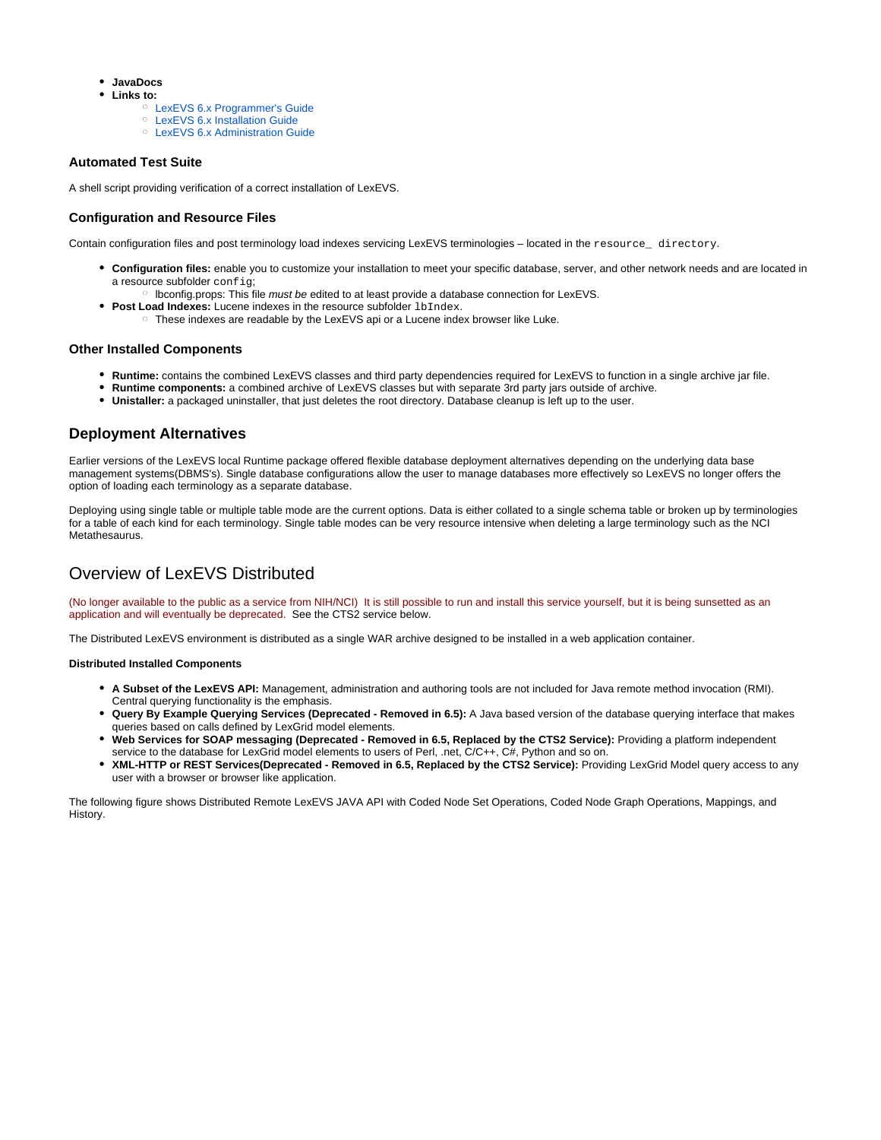- **JavaDocs**
- $\bullet$ **Links to:**
	- [LexEVS 6.x Programmer's Guide](https://wiki.nci.nih.gov/display/LexEVS/LexEVS+6.x+API+Programmer%27s+Guide)
	- [LexEVS 6.x Installation Guide](https://wiki.nci.nih.gov/display/LexEVS/LexEVS+6.x+Installation+Guide)
	- [LexEVS 6.x Administration Guide](https://wiki.nci.nih.gov/display/LexEVS/LexEVS+6.x+Administration+Guide)

#### <span id="page-3-0"></span>**Automated Test Suite**

A shell script providing verification of a correct installation of LexEVS.

#### <span id="page-3-1"></span>**Configuration and Resource Files**

Contain configuration files and post terminology load indexes servicing LexEVS terminologies – located in the resource\_ directory.

- **Configuration files:** enable you to customize your installation to meet your specific database, server, and other network needs and are located in a resource subfolder config;
- o lbconfig.props: This file must be edited to at least provide a database connection for LexEVS.
- **Post Load Indexes:** Lucene indexes in the resource subfolder 1bIndex.
	- o These indexes are readable by the LexEVS api or a Lucene index browser like Luke.

#### <span id="page-3-2"></span>**Other Installed Components**

- **Runtime:** contains the combined LexEVS classes and third party dependencies required for LexEVS to function in a single archive jar file.
- **Runtime components:** a combined archive of LexEVS classes but with separate 3rd party jars outside of archive.
- **Unistaller:** a packaged uninstaller, that just deletes the root directory. Database cleanup is left up to the user.

### <span id="page-3-3"></span>**Deployment Alternatives**

Earlier versions of the LexEVS local Runtime package offered flexible database deployment alternatives depending on the underlying data base management systems(DBMS's). Single database configurations allow the user to manage databases more effectively so LexEVS no longer offers the option of loading each terminology as a separate database.

Deploying using single table or multiple table mode are the current options. Data is either collated to a single schema table or broken up by terminologies for a table of each kind for each terminology. Single table modes can be very resource intensive when deleting a large terminology such as the NCI Metathesaurus.

# <span id="page-3-4"></span>Overview of LexEVS Distributed

(No longer available to the public as a service from NIH/NCI) It is still possible to run and install this service yourself, but it is being sunsetted as an application and will eventually be deprecated. See the CTS2 service below.

The Distributed LexEVS environment is distributed as a single WAR archive designed to be installed in a web application container.

#### **Distributed Installed Components**

- **A Subset of the LexEVS API:** Management, administration and authoring tools are not included for Java remote method invocation (RMI). Central querying functionality is the emphasis.
- **Query By Example Querying Services (Deprecated Removed in 6.5):** A Java based version of the database querying interface that makes queries based on calls defined by LexGrid model elements.
- **Web Services for SOAP messaging (Deprecated Removed in 6.5, Replaced by the CTS2 Service):** Providing a platform independent service to the database for LexGrid model elements to users of Perl, .net, C/C++, C#, Python and so on.
- **XML-HTTP or REST Services(Deprecated Removed in 6.5, Replaced by the CTS2 Service):** Providing LexGrid Model query access to any user with a browser or browser like application.

The following figure shows Distributed Remote LexEVS JAVA API with Coded Node Set Operations, Coded Node Graph Operations, Mappings, and History.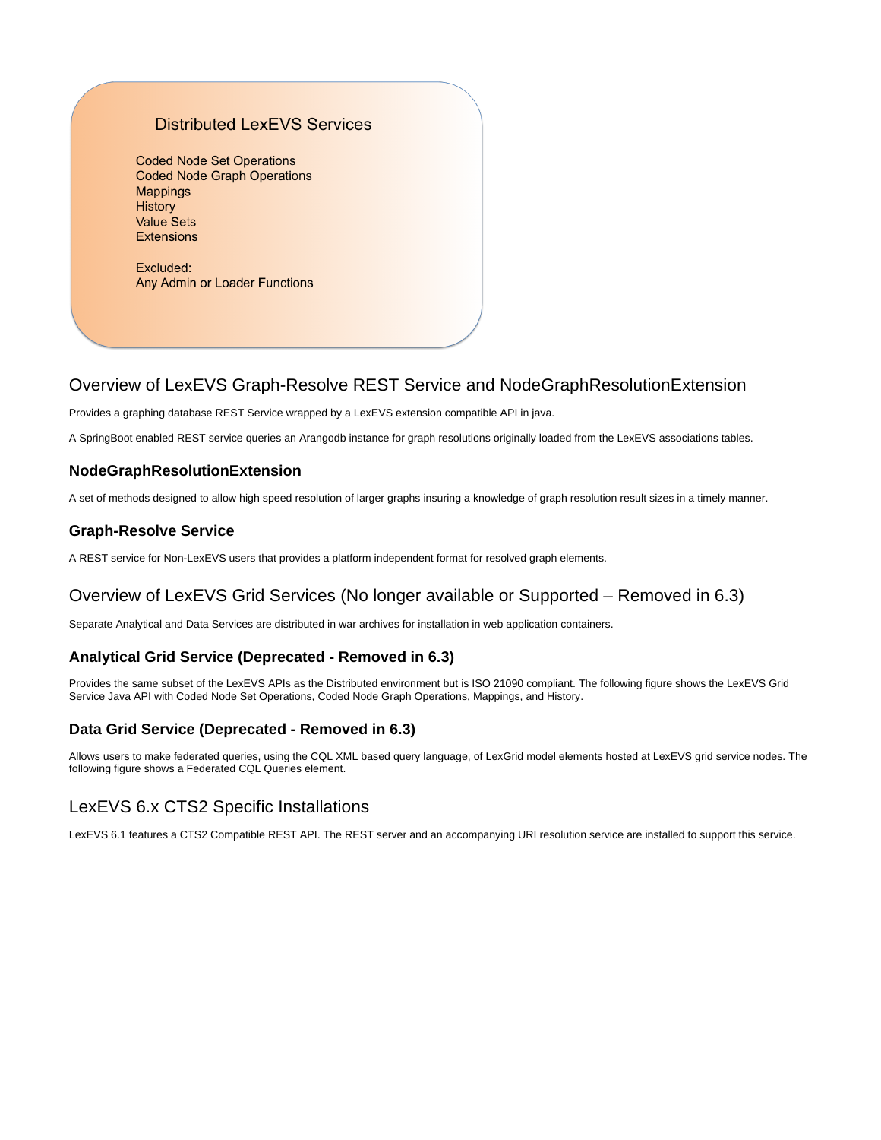### **Distributed LexEVS Services**

**Coded Node Set Operations Coded Node Graph Operations Mappings** History **Value Sets Extensions** 

Excluded: Any Admin or Loader Functions

# <span id="page-4-0"></span>Overview of LexEVS Graph-Resolve REST Service and NodeGraphResolutionExtension

Provides a graphing database REST Service wrapped by a LexEVS extension compatible API in java.

A SpringBoot enabled REST service queries an Arangodb instance for graph resolutions originally loaded from the LexEVS associations tables.

### <span id="page-4-1"></span>**NodeGraphResolutionExtension**

A set of methods designed to allow high speed resolution of larger graphs insuring a knowledge of graph resolution result sizes in a timely manner.

### <span id="page-4-2"></span>**Graph-Resolve Service**

A REST service for Non-LexEVS users that provides a platform independent format for resolved graph elements.

# <span id="page-4-3"></span>Overview of LexEVS Grid Services (No longer available or Supported – Removed in 6.3)

Separate Analytical and Data Services are distributed in war archives for installation in web application containers.

### <span id="page-4-4"></span>**Analytical Grid Service (Deprecated - Removed in 6.3)**

Provides the same subset of the LexEVS APIs as the Distributed environment but is ISO 21090 compliant. The following figure shows the LexEVS Grid Service Java API with Coded Node Set Operations, Coded Node Graph Operations, Mappings, and History.

### <span id="page-4-5"></span>**Data Grid Service (Deprecated - Removed in 6.3)**

Allows users to make federated queries, using the CQL XML based query language, of LexGrid model elements hosted at LexEVS grid service nodes. The following figure shows a Federated CQL Queries element.

# <span id="page-4-6"></span>LexEVS 6.x CTS2 Specific Installations

LexEVS 6.1 features a CTS2 Compatible REST API. The REST server and an accompanying URI resolution service are installed to support this service.